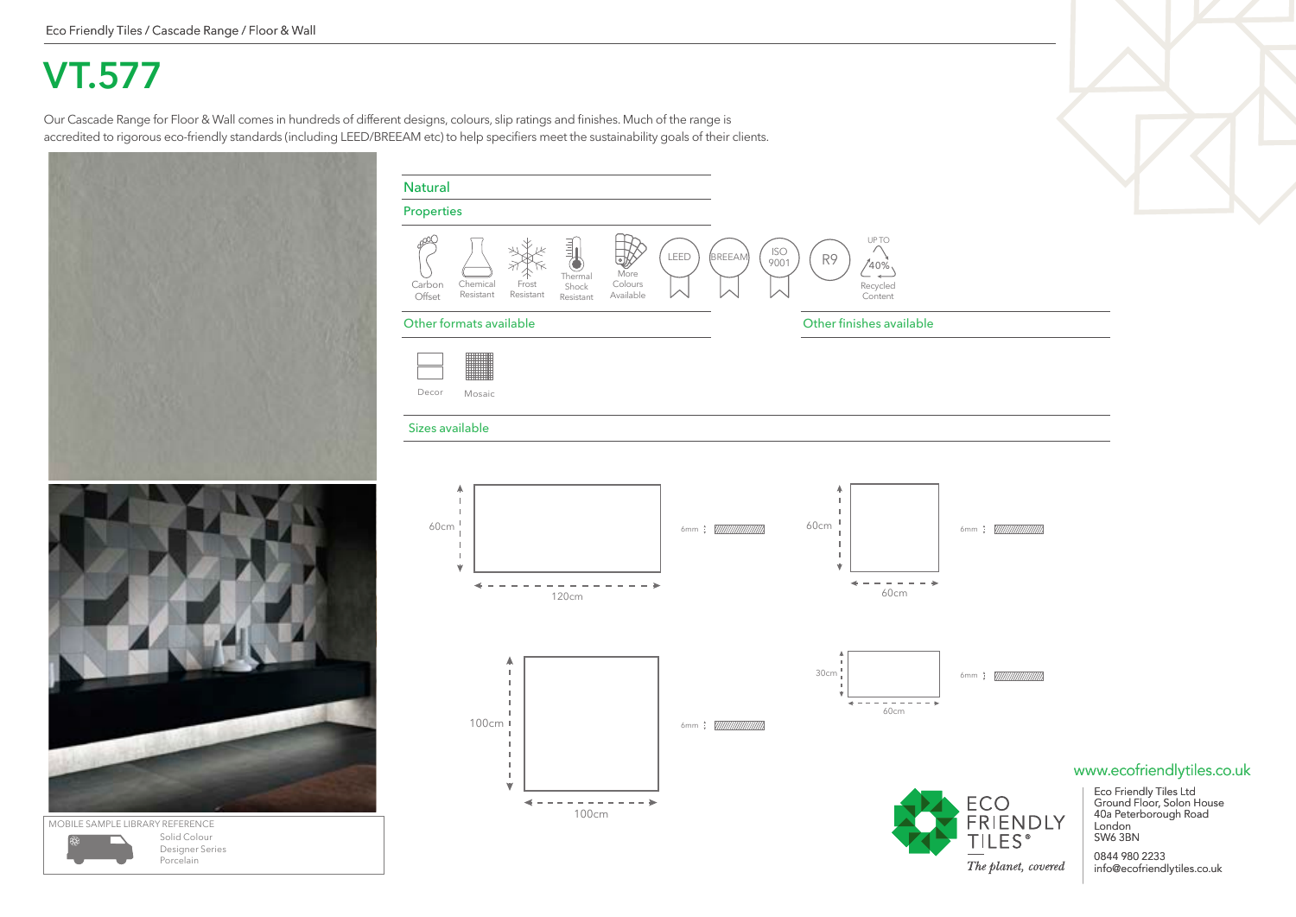## **VT.577**

Our Cascade Range for Floor & Wall comes in hundreds of different designs, colours, slip ratings and finishes. Much of the range is accredited to rigorous eco-friendly standards (including LEED/BREEAM etc) to help specifiers meet the sustainability goals of their clients.

Chemical

Carbon

Properties

Natural

Frost

Thermal Shock

More Colours

 $\mathbb{R}$ 

LEED



Resistant Available Offset Resistant Resistant **Content** Other formats available Other finishes available Decor Mosaic Sizes available A J. J. 60cm 60cm 6mm 6mm  $\mathbf{I}$  $\mathbf{I}$  $\frac{1}{2}$  $\overline{\phantom{a}}$ ÷  $- - - - - \sim$  $\sim$   $\lambda$ 60cm 120cm 30cm 6mm; WWWWWWW - 11  $- - - - \rightarrow$ 60cm 100cm 6mm : *[[[[[[[[[[[[[]]]]]]* - 11  $\mathbf{I}$  $\mathbf{L}$ www.ecofriendlytiles.co.uk 18 Eco Friendly Tiles Ltd Ground Floor, Solon House **ECO**  $\qquad \qquad \Longleftrightarrow$ 100cm 40a Peterborough Road FRIENDLY London **TILES**<sup>®</sup> SW6 3BN

 $\begin{array}{c} \texttt{\small BREEAM} \\ \texttt{\small BREEAM} \end{array}$  (  $\begin{array}{c} \texttt{|SO} \\ \texttt{9001} \end{array}$  ) ( R9

Recycled

UP TO  $(40\%$ 

MOBILE SAMPLE LIBRARY REFERENCE Solid Colour Designer Series Porcelain

The planet, covered

0844 980 2233

info@ecofriendlytiles.co.uk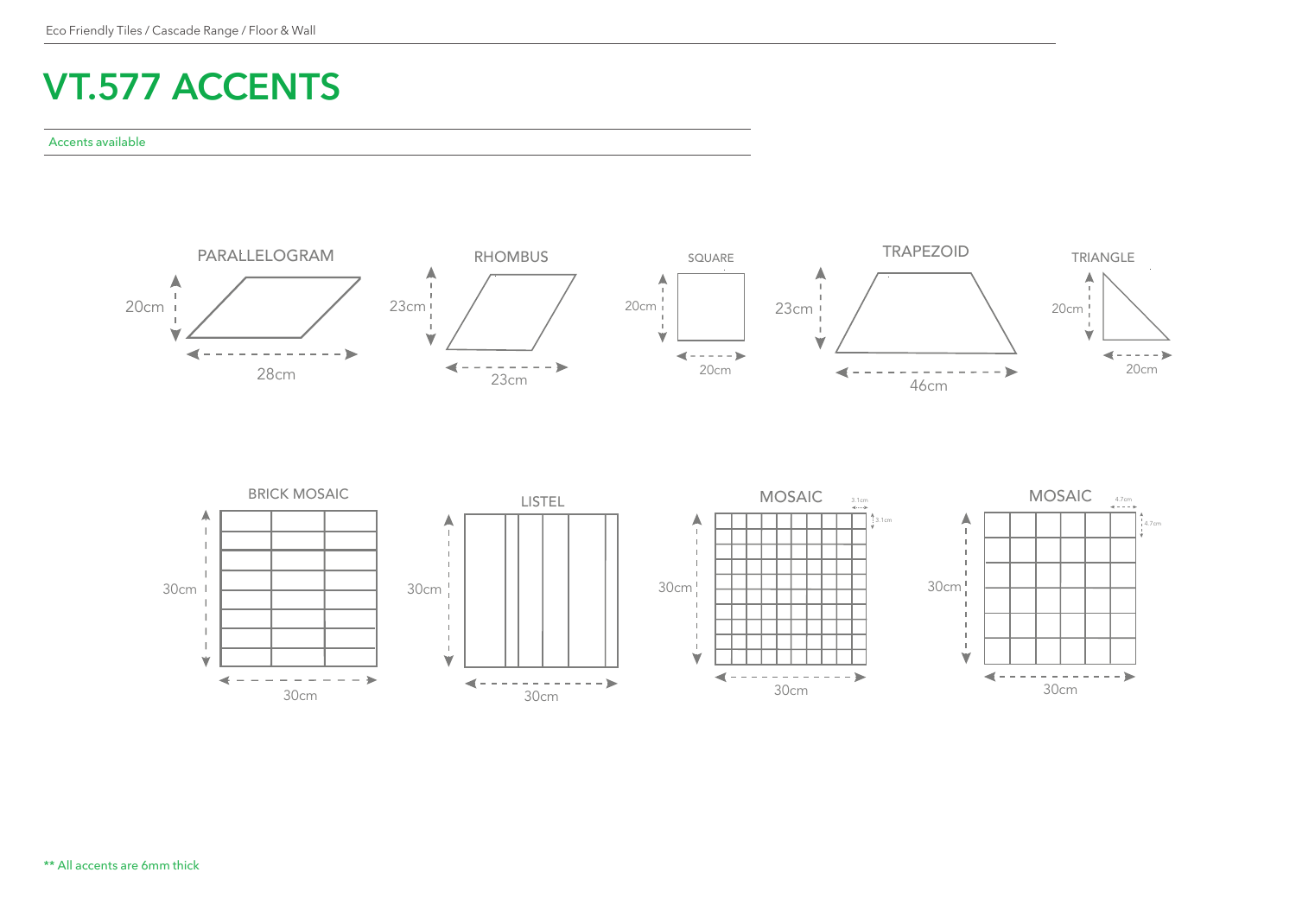## **VT.577 ACCENTS**

## Accents available